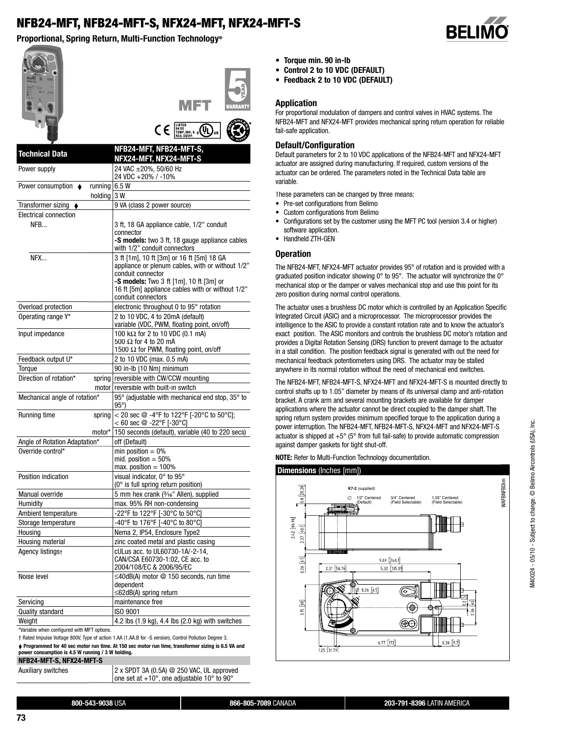# **NFB24-MFT, NFB24-MFT-S, NFX24-MFT, NFX24-MFT-S**

**Proportional, Spring Return, Multi-Function Technology<sup>®</sup>** 



\*Variable when configured with MFT options.

† Rated Impulse Voltage 800V, Type of action 1.AA (1.AA.B for -S version), Control Pollution Degree 3.

**Programmed for 40 sec motor run time. At 150 sec motor run time, transformer sizing is 6.5 VA and power consumption is 4.5 W running / 3 W holding.**

**NFB24-MFT-S, NFX24-MFT-S**

Auxiliary switches 2 x SPDT 3A (0.5A) @ 250 VAC, UL approved

one set at +10°, one adjustable 10° to 90°

**800-543-9038** USA **866-805-7089** CANADA **203-791-8396** LATIN AMERICA



- Torque min. 90 in-lb
- **Control 2 to 10 VDC (DEFAULT)**
- **Feedback 2 to 10 VDC (DEFAULT)**

#### **Application**

For proportional modulation of dampers and control valves in HVAC systems. The NFB24-MFT and NFX24-MFT provides mechanical spring return operation for reliable fail-safe application.

### **Default/Configuration**

Default parameters for 2 to 10 VDC applications of the NFB24-MFT and NFX24-MFT actuator are assigned during manufacturing. If required, custom versions of the actuator can be ordered. The parameters noted in the Technical Data table are variable.

These parameters can be changed by three means:

- Pre-set configurations from Belimo
- Custom configurations from Belimo
- Configurations set by the customer using the MFT PC tool (version 3.4 or higher) software application.
- Handheld ZTH-GEN

#### **Operation**

The NFB24-MFT, NFX24-MFT actuator provides 95° of rotation and is provided with a graduated position indicator showing 0° to 95°. The actuator will synchronize the 0° mechanical stop or the damper or valves mechanical stop and use this point for its zero position during normal control operations.

The actuator uses a brushless DC motor which is controlled by an Application Specific Integrated Circuit (ASIC) and a microprocessor. The microprocessor provides the intelligence to the ASIC to provide a constant rotation rate and to know the actuator's exact position. The ASIC monitors and controls the brushless DC motor's rotation and provides a Digital Rotation Sensing (DRS) function to prevent damage to the actuator in a stall condition. The position feedback signal is generated with out the need for mechanical feedback potentiometers using DRS. The actuator may be stalled anywhere in its normal rotation without the need of mechanical end switches.

The NFB24-MFT, NFB24-MFT-S, NFX24-MFT and NFX24-MFT-S is mounted directly to control shafts up to 1.05" diameter by means of its universal clamp and anti-rotation bracket. A crank arm and several mounting brackets are available for damper applications where the actuator cannot be direct coupled to the damper shaft. The spring return system provides minimum specified torque to the application during a power interruption. The NFB24-MFT, NFB24-MFT-S, NFX24-MFT and NFX24-MFT-S actuator is shipped at  $+5^{\circ}$  (5 $^{\circ}$  from full fail-safe) to provide automatic compression against damper gaskets for tight shut-off.

**NOTE:** Refer to Multi-Function Technology documentation.